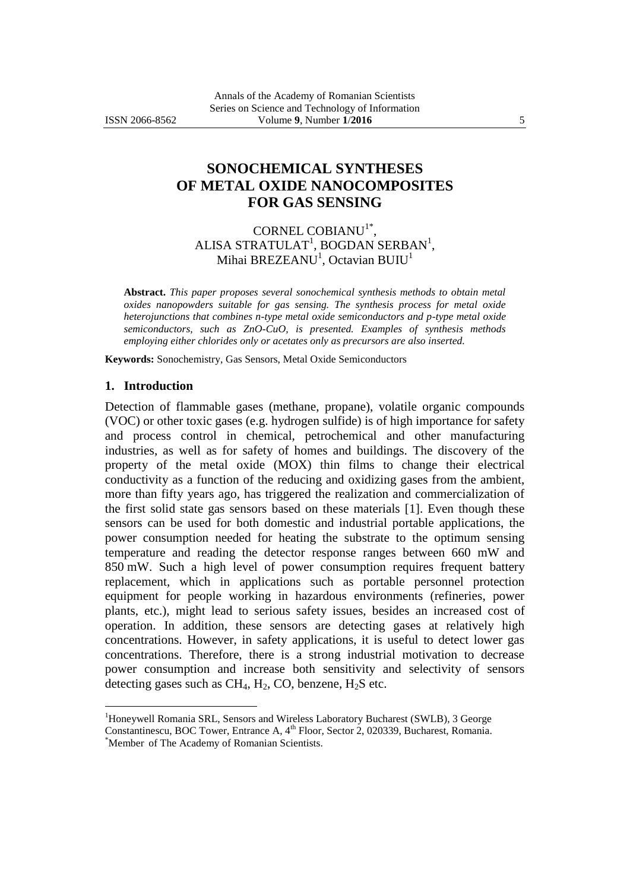# **SONOCHEMICAL SYNTHESES OF METAL OXIDE NANOCOMPOSITES FOR GAS SENSING**

### CORNEL COBIANU<sup>1\*</sup>, ALISA STRATULAT<sup>1</sup>, BOGDAN SERBAN<sup>1</sup>, Mihai BREZEANU $^{\rm l}$ , Octavian BUIU $^{\rm l}$

**Abstract.** *This paper proposes several sonochemical synthesis methods to obtain metal oxides nanopowders suitable for gas sensing. The synthesis process for metal oxide heterojunctions that combines n-type metal oxide semiconductors and p-type metal oxide semiconductors, such as ZnO-CuO, is presented. Examples of synthesis methods employing either chlorides only or acetates only as precursors are also inserted.*

**Keywords:** Sonochemistry, Gas Sensors, Metal Oxide Semiconductors

#### **1. Introduction**

 $\overline{a}$ 

Detection of flammable gases (methane, propane), volatile organic compounds (VOC) or other toxic gases (e.g. hydrogen sulfide) is of high importance for safety and process control in chemical, petrochemical and other manufacturing industries, as well as for safety of homes and buildings. The discovery of the property of the metal oxide (MOX) thin films to change their electrical conductivity as a function of the reducing and oxidizing gases from the ambient, more than fifty years ago, has triggered the realization and commercialization of the first solid state gas sensors based on these materials [1]. Even though these sensors can be used for both domestic and industrial portable applications, the power consumption needed for heating the substrate to the optimum sensing temperature and reading the detector response ranges between 660 mW and 850 mW. Such a high level of power consumption requires frequent battery replacement, which in applications such as portable personnel protection equipment for people working in hazardous environments (refineries, power plants, etc.), might lead to serious safety issues, besides an increased cost of operation. In addition, these sensors are detecting gases at relatively high concentrations. However, in safety applications, it is useful to detect lower gas concentrations. Therefore, there is a strong industrial motivation to decrease power consumption and increase both sensitivity and selectivity of sensors detecting gases such as  $CH_4$ ,  $H_2$ , CO, benzene,  $H_2S$  etc.

<sup>1</sup>Honeywell Romania SRL, Sensors and Wireless Laboratory Bucharest (SWLB), 3 George Constantinescu, BOC Tower, Entrance A, 4<sup>th</sup> Floor, Sector 2, 020339, Bucharest, Romania. \*Member of The Academy of Romanian Scientists.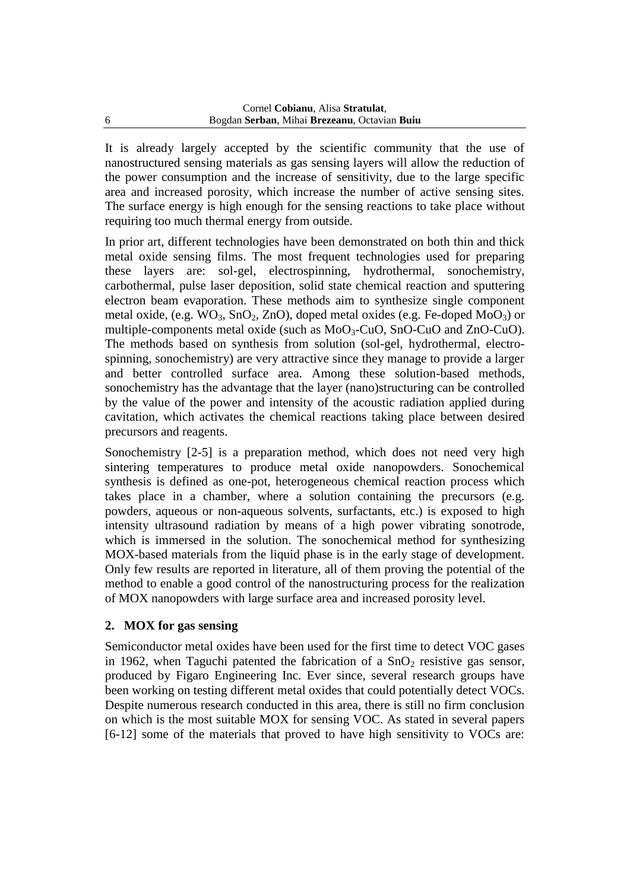It is already largely accepted by the scientific community that the use of nanostructured sensing materials as gas sensing layers will allow the reduction of the power consumption and the increase of sensitivity, due to the large specific area and increased porosity, which increase the number of active sensing sites. The surface energy is high enough for the sensing reactions to take place without requiring too much thermal energy from outside.

In prior art, different technologies have been demonstrated on both thin and thick metal oxide sensing films. The most frequent technologies used for preparing these layers are: sol-gel, electrospinning, hydrothermal, sonochemistry, carbothermal, pulse laser deposition, solid state chemical reaction and sputtering electron beam evaporation. These methods aim to synthesize single component metal oxide, (e.g.  $WO_3$ ,  $SnO_2$ ,  $ZnO$ ), doped metal oxides (e.g. Fe-doped  $MoO_3$ ) or multiple-components metal oxide (such as MoO<sub>3</sub>-CuO, SnO-CuO and ZnO-CuO). The methods based on synthesis from solution (sol-gel, hydrothermal, electrospinning, sonochemistry) are very attractive since they manage to provide a larger and better controlled surface area. Among these solution-based methods, sonochemistry has the advantage that the layer (nano)structuring can be controlled by the value of the power and intensity of the acoustic radiation applied during cavitation, which activates the chemical reactions taking place between desired precursors and reagents.

Sonochemistry [2-5] is a preparation method, which does not need very high sintering temperatures to produce metal oxide nanopowders. Sonochemical synthesis is defined as one-pot, heterogeneous chemical reaction process which takes place in a chamber, where a solution containing the precursors (e.g. powders, aqueous or non-aqueous solvents, surfactants, etc.) is exposed to high intensity ultrasound radiation by means of a high power vibrating sonotrode, which is immersed in the solution. The sonochemical method for synthesizing MOX-based materials from the liquid phase is in the early stage of development. Only few results are reported in literature, all of them proving the potential of the method to enable a good control of the nanostructuring process for the realization of MOX nanopowders with large surface area and increased porosity level.

### **2. MOX for gas sensing**

Semiconductor metal oxides have been used for the first time to detect VOC gases in 1962, when Taguchi patented the fabrication of a  $SnO<sub>2</sub>$  resistive gas sensor, produced by Figaro Engineering Inc. Ever since, several research groups have been working on testing different metal oxides that could potentially detect VOCs. Despite numerous research conducted in this area, there is still no firm conclusion on which is the most suitable MOX for sensing VOC. As stated in several papers [6-12] some of the materials that proved to have high sensitivity to VOCs are: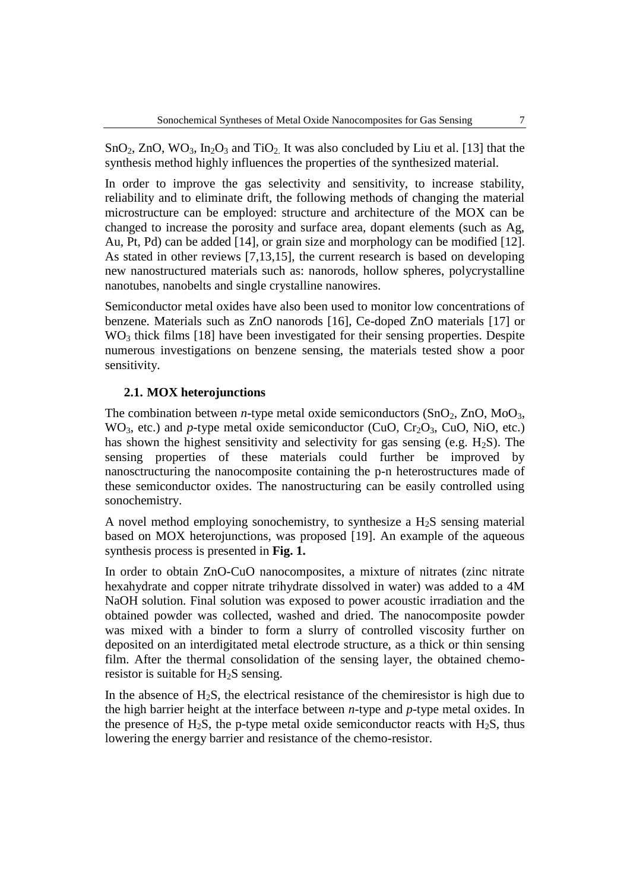$SnO<sub>2</sub>$ ,  $ZnO$ ,  $WO<sub>3</sub>$ ,  $In<sub>2</sub>O<sub>3</sub>$  and  $TiO<sub>2</sub>$ . It was also concluded by Liu et al. [13] that the synthesis method highly influences the properties of the synthesized material.

In order to improve the gas selectivity and sensitivity, to increase stability, reliability and to eliminate drift, the following methods of changing the material microstructure can be employed: structure and architecture of the MOX can be changed to increase the porosity and surface area, dopant elements (such as Ag, Au, Pt, Pd) can be added [14], or grain size and morphology can be modified [12]. As stated in other reviews [7,13,15], the current research is based on developing new nanostructured materials such as: nanorods, hollow spheres, polycrystalline nanotubes, nanobelts and single crystalline nanowires.

Semiconductor metal oxides have also been used to monitor low concentrations of benzene. Materials such as ZnO nanorods [16], Ce-doped ZnO materials [17] or  $WO<sub>3</sub>$  thick films [18] have been investigated for their sensing properties. Despite numerous investigations on benzene sensing, the materials tested show a poor sensitivity.

#### **2.1. MOX heterojunctions**

The combination between *n*-type metal oxide semiconductors  $(SnO<sub>2</sub>, ZnO, MoO<sub>3</sub>$ ,  $WO<sub>3</sub>$ , etc.) and *p*-type metal oxide semiconductor (CuO, Cr<sub>2</sub>O<sub>3</sub>, CuO, NiO, etc.) has shown the highest sensitivity and selectivity for gas sensing (e.g.  $H_2S$ ). The sensing properties of these materials could further be improved by nanosctructuring the nanocomposite containing the p-n heterostructures made of these semiconductor oxides. The nanostructuring can be easily controlled using sonochemistry.

A novel method employing sonochemistry, to synthesize a  $H_2S$  sensing material based on MOX heterojunctions, was proposed [19]. An example of the aqueous synthesis process is presented in **Fig. 1.**

In order to obtain ZnO-CuO nanocomposites, a mixture of nitrates (zinc nitrate hexahydrate and copper nitrate trihydrate dissolved in water) was added to a 4M NaOH solution. Final solution was exposed to power acoustic irradiation and the obtained powder was collected, washed and dried. The nanocomposite powder was mixed with a binder to form a slurry of controlled viscosity further on deposited on an interdigitated metal electrode structure, as a thick or thin sensing film. After the thermal consolidation of the sensing layer, the obtained chemoresistor is suitable for  $H_2S$  sensing.

In the absence of  $H_2S$ , the electrical resistance of the chemiresistor is high due to the high barrier height at the interface between *n*-type and *p*-type metal oxides. In the presence of H<sub>2</sub>S, the p-type metal oxide semiconductor reacts with H<sub>2</sub>S, thus lowering the energy barrier and resistance of the chemo-resistor.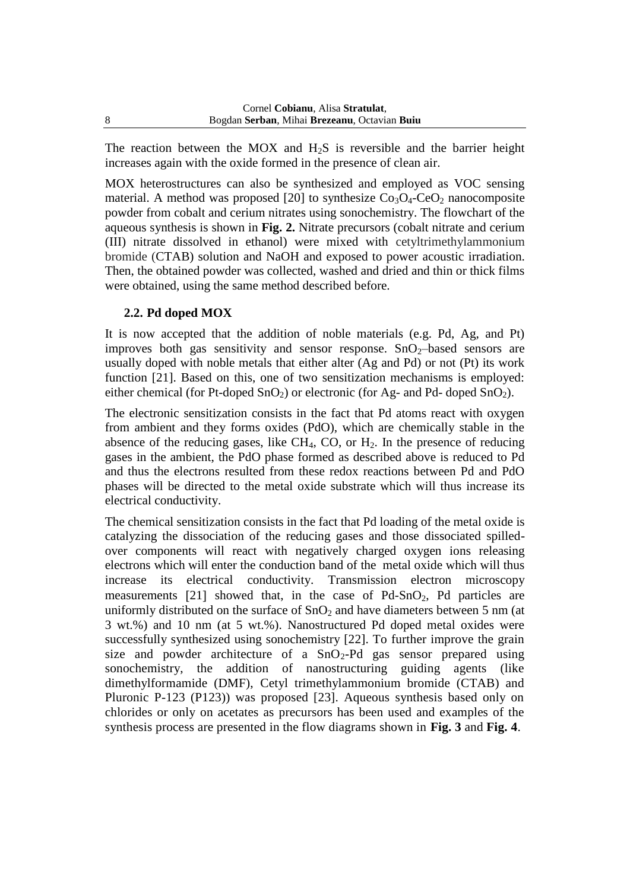The reaction between the MOX and  $H_2S$  is reversible and the barrier height increases again with the oxide formed in the presence of clean air.

MOX heterostructures can also be synthesized and employed as VOC sensing material. A method was proposed [20] to synthesize  $Co<sub>3</sub>O<sub>4</sub>-CeO<sub>2</sub>$  nanocomposite powder from cobalt and cerium nitrates using sonochemistry. The flowchart of the aqueous synthesis is shown in **Fig. 2.** Nitrate precursors (cobalt nitrate and cerium (III) nitrate dissolved in ethanol) were mixed with cetyltrimethylammonium bromide (CTAB) solution and NaOH and exposed to power acoustic irradiation. Then, the obtained powder was collected, washed and dried and thin or thick films were obtained, using the same method described before.

## **2.2. Pd doped MOX**

It is now accepted that the addition of noble materials (e.g. Pd, Ag, and Pt) improves both gas sensitivity and sensor response.  $SnO<sub>2</sub>$ -based sensors are usually doped with noble metals that either alter (Ag and Pd) or not (Pt) its work function [21]. Based on this, one of two sensitization mechanisms is employed: either chemical (for Pt-doped  $SnO<sub>2</sub>$ ) or electronic (for Ag- and Pd- doped  $SnO<sub>2</sub>$ ).

The electronic sensitization consists in the fact that Pd atoms react with oxygen from ambient and they forms oxides (PdO), which are chemically stable in the absence of the reducing gases, like  $CH_4$ , CO, or  $H_2$ . In the presence of reducing gases in the ambient, the PdO phase formed as described above is reduced to Pd and thus the electrons resulted from these redox reactions between Pd and PdO phases will be directed to the metal oxide substrate which will thus increase its electrical conductivity.

The chemical sensitization consists in the fact that Pd loading of the metal oxide is catalyzing the dissociation of the reducing gases and those dissociated spilledover components will react with negatively charged oxygen ions releasing electrons which will enter the conduction band of the metal oxide which will thus increase its electrical conductivity. Transmission electron microscopy measurements  $[21]$  showed that, in the case of Pd-SnO<sub>2</sub>, Pd particles are uniformly distributed on the surface of  $SnO<sub>2</sub>$  and have diameters between 5 nm (at 3 wt.%) and 10 nm (at 5 wt.%). Nanostructured Pd doped metal oxides were successfully synthesized using sonochemistry [22]. To further improve the grain size and powder architecture of a  $SnO_2-Pd$  gas sensor prepared using sonochemistry, the addition of nanostructuring guiding agents (like dimethylformamide (DMF), Cetyl trimethylammonium bromide (CTAB) and Pluronic P-123 (P123)) was proposed [23]. Aqueous synthesis based only on chlorides or only on acetates as precursors has been used and examples of the synthesis process are presented in the flow diagrams shown in **Fig. 3** and **Fig. 4**.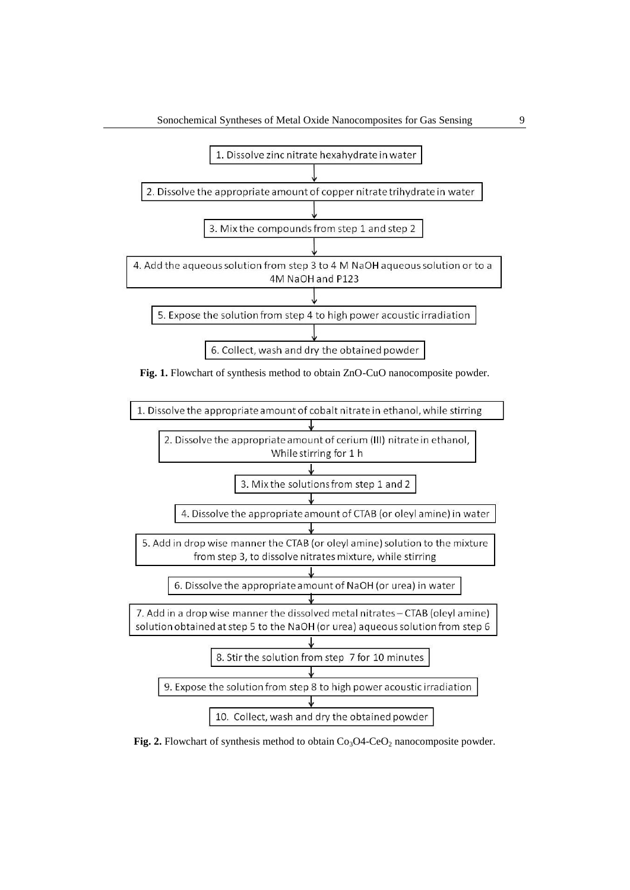

**Fig. 1.** Flowchart of synthesis method to obtain ZnO-CuO nanocomposite powder.



**Fig. 2.** Flowchart of synthesis method to obtain  $Co<sub>3</sub>O4-CeO<sub>2</sub>$  nanocomposite powder.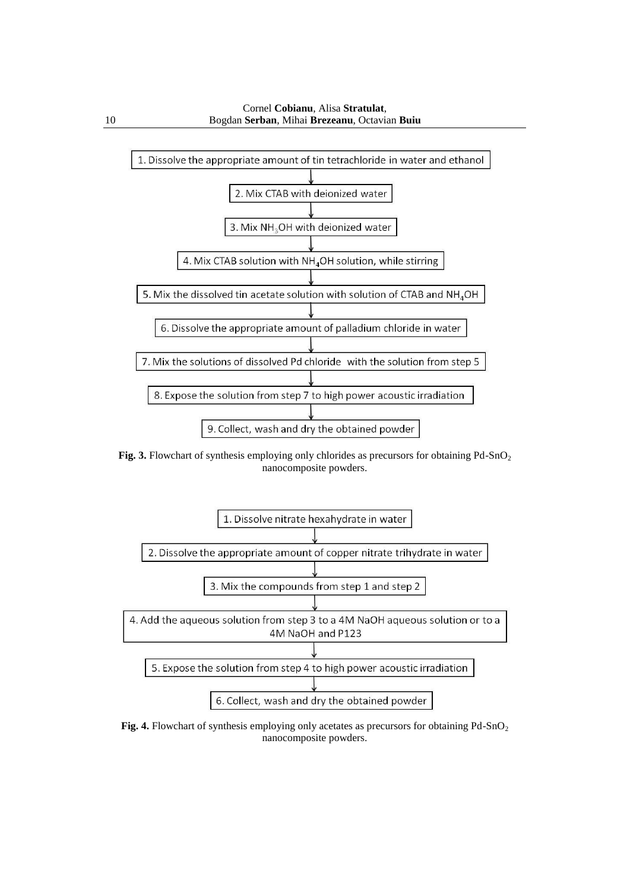

Fig. 3. Flowchart of synthesis employing only chlorides as precursors for obtaining Pd-SnO<sub>2</sub> nanocomposite powders.



Fig. 4. Flowchart of synthesis employing only acetates as precursors for obtaining Pd-SnO<sub>2</sub> nanocomposite powders.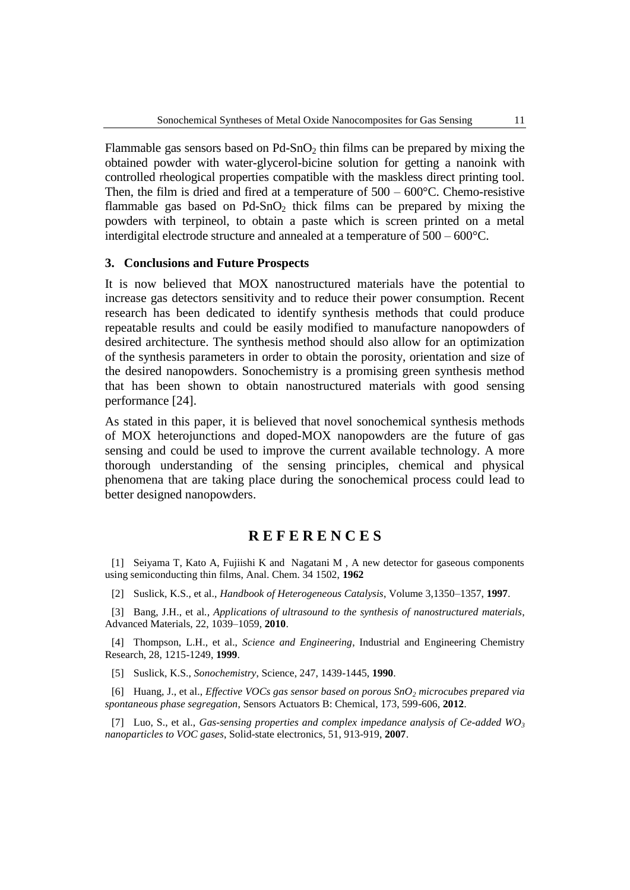Flammable gas sensors based on  $Pd-SnO<sub>2</sub>$  thin films can be prepared by mixing the obtained powder with water-glycerol-bicine solution for getting a nanoink with controlled rheological properties compatible with the maskless direct printing tool. Then, the film is dried and fired at a temperature of  $500 - 600^{\circ}$ C. Chemo-resistive flammable gas based on  $Pd-SnO<sub>2</sub>$  thick films can be prepared by mixing the powders with terpineol, to obtain a paste which is screen printed on a metal interdigital electrode structure and annealed at a temperature of 500 – 600°C.

#### **3. Conclusions and Future Prospects**

It is now believed that MOX nanostructured materials have the potential to increase gas detectors sensitivity and to reduce their power consumption. Recent research has been dedicated to identify synthesis methods that could produce repeatable results and could be easily modified to manufacture nanopowders of desired architecture. The synthesis method should also allow for an optimization of the synthesis parameters in order to obtain the porosity, orientation and size of the desired nanopowders. Sonochemistry is a promising green synthesis method that has been shown to obtain nanostructured materials with good sensing performance [24].

As stated in this paper, it is believed that novel sonochemical synthesis methods of MOX heterojunctions and doped-MOX nanopowders are the future of gas sensing and could be used to improve the current available technology. A more thorough understanding of the sensing principles, chemical and physical phenomena that are taking place during the sonochemical process could lead to better designed nanopowders.

### **R E F E R E N C E S**

[1] Seiyama T, Kato A, Fujiishi K and Nagatani M , A new detector for gaseous components using semiconducting thin films, Anal. Chem. 34 1502, **1962** 

[2] Suslick, K.S., et al., *Handbook of Heterogeneous Catalysis*, Volume 3,1350–1357, **1997**.

[3] Bang, J.H., et al*., Applications of ultrasound to the synthesis of nanostructured materials*, Advanced Materials, 22, 1039–1059, **2010**.

[4] Thompson, L.H., et al., *Science and Engineering*, Industrial and Engineering Chemistry Research, 28, 1215-1249, **1999**.

[5] Suslick, K.S., *Sonochemistry*, Science, 247, 1439-1445, **1990**.

[6] Huang, J., et al., *Effective VOCs gas sensor based on porous SnO<sup>2</sup> microcubes prepared via spontaneous phase segregation*, Sensors Actuators B: Chemical, 173, 599-606, **2012**.

[7] Luo, S., et al., *Gas-sensing properties and complex impedance analysis of Ce-added WO<sup>3</sup> nanoparticles to VOC gases*, Solid-state electronics, 51, 913-919, **2007**.